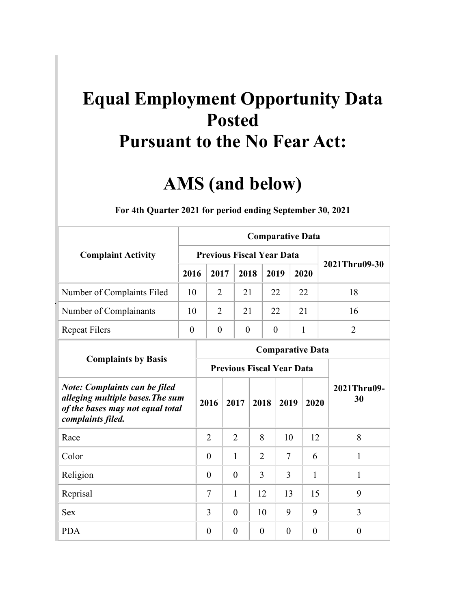## **Pursuant to the No Fear Act: Equal Employment Opportunity Data Posted**

## **AMS (and below)**

|                                                                                                                                   |                |                                                             |                                  |                |                |      | <b>Comparative Data</b>          |              |          |                   |
|-----------------------------------------------------------------------------------------------------------------------------------|----------------|-------------------------------------------------------------|----------------------------------|----------------|----------------|------|----------------------------------|--------------|----------|-------------------|
| <b>Complaint Activity</b>                                                                                                         |                |                                                             |                                  |                |                |      | <b>Previous Fiscal Year Data</b> |              |          |                   |
|                                                                                                                                   | 2016           |                                                             | 2017                             | 2018           |                | 2019 |                                  | 2020         |          | 2021Thru09-30     |
| Number of Complaints Filed                                                                                                        | 10             |                                                             | 2                                | 21             |                |      | 22                               | 22           |          | 18                |
| Number of Complainants                                                                                                            | 10             |                                                             | 2                                | 21             |                | 22   |                                  | 21           |          | 16                |
| <b>Repeat Filers</b>                                                                                                              | $\overline{0}$ | $\overline{0}$<br>1<br>$\boldsymbol{0}$<br>$\boldsymbol{0}$ |                                  |                |                |      | $\overline{2}$                   |              |          |                   |
|                                                                                                                                   |                |                                                             |                                  |                |                |      | <b>Comparative Data</b>          |              |          |                   |
| <b>Complaints by Basis</b>                                                                                                        |                |                                                             | <b>Previous Fiscal Year Data</b> |                |                |      |                                  |              |          |                   |
| <b>Note: Complaints can be filed</b><br>alleging multiple bases. The sum<br>of the bases may not equal total<br>complaints filed. |                | 2016                                                        |                                  | 2017           | 2018           |      | 2019                             |              | 2020     | 2021Thru09-<br>30 |
| Race                                                                                                                              |                | $\overline{2}$                                              |                                  | $\overline{2}$ | 8              |      | 10                               |              | 12       | 8                 |
| Color                                                                                                                             |                | $\theta$                                                    |                                  | $\mathbf{1}$   | $\overline{2}$ |      | $\overline{7}$                   | 6            |          | $\mathbf{1}$      |
| Religion                                                                                                                          |                | $\theta$                                                    |                                  | $\theta$       | 3              |      | 3                                | $\mathbf{1}$ |          | 1                 |
| Reprisal                                                                                                                          |                | $\tau$                                                      |                                  | $\mathbf{1}$   | 12             |      | 13                               | 15           |          | 9                 |
| <b>Sex</b>                                                                                                                        |                | 3                                                           |                                  | $\theta$       | 10             |      | 9                                | 9            |          | 3                 |
| <b>PDA</b>                                                                                                                        |                | $\theta$                                                    |                                  | $\theta$       | $\theta$       |      | $\theta$                         |              | $\theta$ | $\overline{0}$    |

**For 4th Quarter 2021 for period ending September 30, 2021**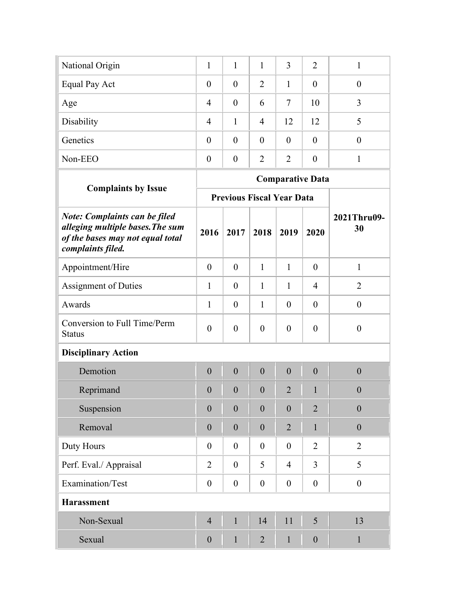| National Origin |                |                |                | 3        | $\overline{2}$ |  |
|-----------------|----------------|----------------|----------------|----------|----------------|--|
| Equal Pay Act   | $\overline{0}$ | $\overline{0}$ | 2              |          | $\theta$       |  |
| Age             | 4              | $\theta$       | 6              | 7        | 10             |  |
| Disability      | 4              |                | $\overline{4}$ | 12       | 12             |  |
| Genetics        | $\theta$       | $\theta$       | $\theta$       | $\theta$ | $\Omega$       |  |
| Non-EEO         | $\theta$       | $\theta$       | 2              | 2        | $\theta$       |  |
|                 |                |                |                |          |                |  |

|                                                                                                                                   | <b>Comparative Data</b><br><b>Previous Fiscal Year Data</b> |                |                |                |                  |                   |  |  |  |  |  |
|-----------------------------------------------------------------------------------------------------------------------------------|-------------------------------------------------------------|----------------|----------------|----------------|------------------|-------------------|--|--|--|--|--|
| <b>Complaints by Issue</b>                                                                                                        |                                                             |                |                |                |                  |                   |  |  |  |  |  |
| <b>Note: Complaints can be filed</b><br>alleging multiple bases. The sum<br>of the bases may not equal total<br>complaints filed. | 2016                                                        | 2017           | 2018           | 2019           | 2020             | 2021Thru09-<br>30 |  |  |  |  |  |
| Appointment/Hire                                                                                                                  | $\overline{0}$                                              | $\overline{0}$ | $\mathbf{1}$   | $\mathbf{1}$   | $\mathbf{0}$     | $\mathbf{1}$      |  |  |  |  |  |
| <b>Assignment of Duties</b>                                                                                                       | 1                                                           | $\theta$       | 1              | $\mathbf{1}$   | 4                | $\overline{2}$    |  |  |  |  |  |
| Awards                                                                                                                            | $\mathbf{1}$                                                | $\overline{0}$ | $\mathbf{1}$   | $\overline{0}$ | $\theta$         | $\overline{0}$    |  |  |  |  |  |
| Conversion to Full Time/Perm<br><b>Status</b>                                                                                     | $\overline{0}$                                              | $\overline{0}$ | $\overline{0}$ | $\overline{0}$ | $\mathbf{0}$     | $\overline{0}$    |  |  |  |  |  |
| <b>Disciplinary Action</b>                                                                                                        |                                                             |                |                |                |                  |                   |  |  |  |  |  |
| Demotion                                                                                                                          | $\overline{0}$                                              | $\mathbf{0}$   | $\overline{0}$ | $\overline{0}$ | $\overline{0}$   | $\overline{0}$    |  |  |  |  |  |
| Reprimand                                                                                                                         | $\boldsymbol{0}$                                            | $\theta$       | $\theta$       | $\overline{2}$ | 1                | $\theta$          |  |  |  |  |  |
| Suspension                                                                                                                        | $\overline{0}$                                              | $\theta$       | $\theta$       | $\theta$       | $\overline{2}$   | $\theta$          |  |  |  |  |  |
| Removal                                                                                                                           | $\overline{0}$                                              | $\overline{0}$ | $\overline{0}$ | $\overline{2}$ | $\mathbf{1}$     | $\overline{0}$    |  |  |  |  |  |
| Duty Hours                                                                                                                        | $\overline{0}$                                              | $\overline{0}$ | $\overline{0}$ | $\overline{0}$ | $\overline{2}$   | $\overline{2}$    |  |  |  |  |  |
| Perf. Eval./ Appraisal                                                                                                            | $\overline{2}$                                              | $\overline{0}$ | 5              | $\overline{4}$ | 3                | 5                 |  |  |  |  |  |
| Examination/Test                                                                                                                  | $\theta$                                                    | $\theta$       | $\theta$       | $\theta$       | $\theta$         | $\overline{0}$    |  |  |  |  |  |
| <b>Harassment</b>                                                                                                                 |                                                             |                |                |                |                  |                   |  |  |  |  |  |
| Non-Sexual                                                                                                                        | $\overline{4}$                                              | $\mathbf{1}$   | 14             | 11             | 5                | 13                |  |  |  |  |  |
| Sexual                                                                                                                            | $\boldsymbol{0}$                                            | 1              | $\overline{2}$ | $\mathbf{1}$   | $\boldsymbol{0}$ | $\mathbf{1}$      |  |  |  |  |  |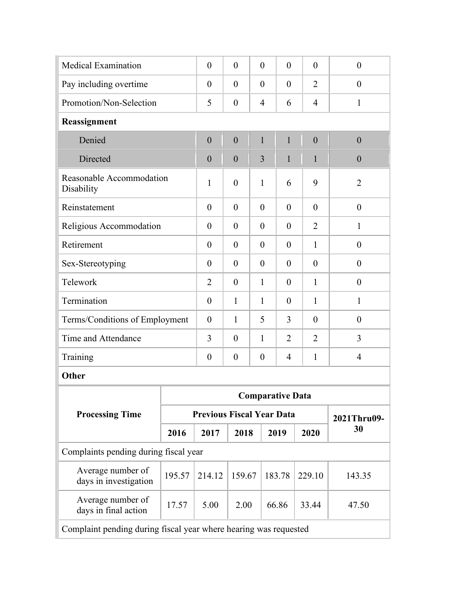| <b>Medical Examination</b>                 |                                                                  | $\theta$                                                                       | $\overline{0}$   |  | $\theta$         | $\theta$                | $\overline{0}$ | $\theta$         |  |  |  |
|--------------------------------------------|------------------------------------------------------------------|--------------------------------------------------------------------------------|------------------|--|------------------|-------------------------|----------------|------------------|--|--|--|
| Pay including overtime                     |                                                                  | $\theta$                                                                       | $\theta$         |  | $\theta$         | $\theta$                | $\overline{2}$ | $\theta$         |  |  |  |
| Promotion/Non-Selection                    |                                                                  | 5                                                                              | $\boldsymbol{0}$ |  | $\overline{4}$   | 6                       | $\overline{4}$ | $\mathbf{1}$     |  |  |  |
| Reassignment                               |                                                                  |                                                                                |                  |  |                  |                         |                |                  |  |  |  |
| Denied                                     |                                                                  | $\boldsymbol{0}$                                                               | $\overline{0}$   |  | $\mathbf{1}$     | $\mathbf{1}$            | $\overline{0}$ | $\boldsymbol{0}$ |  |  |  |
| Directed                                   |                                                                  | $\overline{0}$                                                                 | $\overline{0}$   |  | $\overline{3}$   | $\mathbf{1}$            | $\mathbf{1}$   | $\overline{0}$   |  |  |  |
| Reasonable Accommodation<br>Disability     |                                                                  | $\mathbf{1}$                                                                   | $\boldsymbol{0}$ |  | 1                | 6                       | 9              | $\overline{2}$   |  |  |  |
| Reinstatement                              |                                                                  | $\theta$                                                                       | $\theta$         |  | $\theta$         | $\theta$                | $\theta$       | $\theta$         |  |  |  |
| Religious Accommodation                    |                                                                  | $\overline{2}$<br>$\mathbf{1}$<br>$\theta$<br>$\theta$<br>$\theta$<br>$\theta$ |                  |  |                  |                         |                |                  |  |  |  |
| Retirement                                 |                                                                  | $\mathbf{1}$<br>$\theta$<br>$\theta$<br>$\theta$<br>$\theta$<br>$\overline{0}$ |                  |  |                  |                         |                |                  |  |  |  |
| Sex-Stereotyping                           |                                                                  | $\theta$<br>$\theta$<br>$\theta$<br>$\theta$<br>$\theta$<br>$\theta$           |                  |  |                  |                         |                |                  |  |  |  |
| Telework                                   |                                                                  | 2<br>$\theta$<br>1<br>$\theta$<br>$\mathbf{1}$<br>$\overline{0}$               |                  |  |                  |                         |                |                  |  |  |  |
| Termination                                |                                                                  | $\theta$                                                                       | 1                |  | 1                | $\theta$                | $\mathbf{1}$   | 1                |  |  |  |
| Terms/Conditions of Employment             |                                                                  | $\theta$                                                                       | $\mathbf{1}$     |  | 5                | 3                       | $\theta$       | $\theta$         |  |  |  |
| Time and Attendance                        |                                                                  | 3                                                                              | $\theta$         |  | $\mathbf{1}$     | $\overline{2}$          | $\overline{2}$ | 3                |  |  |  |
| Training                                   |                                                                  | $\boldsymbol{0}$                                                               | $\boldsymbol{0}$ |  | $\boldsymbol{0}$ | $\overline{4}$          | $\mathbf{1}$   | $\overline{4}$   |  |  |  |
| Other                                      |                                                                  |                                                                                |                  |  |                  |                         |                |                  |  |  |  |
|                                            |                                                                  |                                                                                |                  |  |                  | <b>Comparative Data</b> |                |                  |  |  |  |
| <b>Processing Time</b>                     |                                                                  | <b>Previous Fiscal Year Data</b>                                               |                  |  |                  |                         |                | 2021Thru09-      |  |  |  |
|                                            | 2016                                                             | 2017                                                                           | 2018             |  |                  | 2019                    | 2020           | 30               |  |  |  |
| Complaints pending during fiscal year      |                                                                  |                                                                                |                  |  |                  |                         |                |                  |  |  |  |
| Average number of<br>days in investigation | 195.57                                                           | 214.12                                                                         | 159.67           |  |                  | 183.78                  | 229.10         | 143.35           |  |  |  |
| Average number of<br>days in final action  | 17.57                                                            | 5.00                                                                           | 2.00             |  |                  | 66.86                   | 33.44          | 47.50            |  |  |  |
|                                            | Complaint pending during fiscal year where hearing was requested |                                                                                |                  |  |                  |                         |                |                  |  |  |  |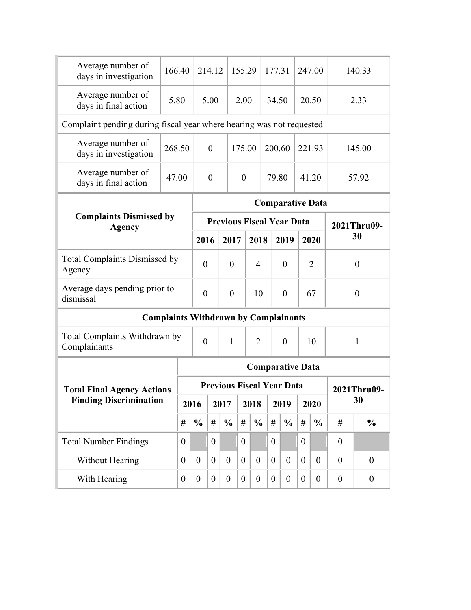| Average number of<br>days in investigation                           | 166.40                                      |                                  | 214.12           |                  |                         | 155.29         |      |                | 177.31           |                                  |                | 247.00           |                  | 140.33           |  |  |
|----------------------------------------------------------------------|---------------------------------------------|----------------------------------|------------------|------------------|-------------------------|----------------|------|----------------|------------------|----------------------------------|----------------|------------------|------------------|------------------|--|--|
| Average number of<br>days in final action                            | 5.80                                        |                                  |                  | 5.00             |                         | 2.00           |      |                | 34.50            |                                  |                | 20.50            |                  | 2.33             |  |  |
| Complaint pending during fiscal year where hearing was not requested |                                             |                                  |                  |                  |                         |                |      |                |                  |                                  |                |                  |                  |                  |  |  |
| Average number of<br>days in investigation                           | 268.50                                      |                                  |                  | $\mathbf{0}$     |                         | 175.00         |      |                | 200.60           |                                  |                | 221.93           |                  | 145.00           |  |  |
| Average number of<br>days in final action                            | 47.00                                       |                                  |                  | $\theta$         |                         | $\mathbf{0}$   |      |                | 79.80            |                                  |                | 41.20            |                  | 57.92            |  |  |
|                                                                      |                                             |                                  |                  |                  | <b>Comparative Data</b> |                |      |                |                  |                                  |                |                  |                  |                  |  |  |
| <b>Complaints Dismissed by</b><br><b>Agency</b>                      |                                             | <b>Previous Fiscal Year Data</b> |                  |                  |                         |                |      |                |                  |                                  | 2021Thru09-    |                  |                  |                  |  |  |
|                                                                      |                                             |                                  | 2016             |                  | 2017<br>2018            |                |      |                | 2019             |                                  | 2020           |                  | 30               |                  |  |  |
| <b>Total Complaints Dismissed by</b><br>Agency                       |                                             | $\theta$<br>$\overline{0}$       |                  |                  |                         |                |      | 4              |                  | $\overline{0}$                   |                | $\overline{2}$   |                  | $\theta$         |  |  |
| Average days pending prior to<br>dismissal                           |                                             |                                  | $\theta$         |                  | $\theta$                |                |      | 10             |                  | $\overline{0}$                   |                | 67               |                  | $\theta$         |  |  |
|                                                                      | <b>Complaints Withdrawn by Complainants</b> |                                  |                  |                  |                         |                |      |                |                  |                                  |                |                  |                  |                  |  |  |
| Total Complaints Withdrawn by<br>Complainants                        |                                             |                                  | $\mathbf{0}$     |                  | $\mathbf{1}$            |                |      | $\overline{2}$ |                  | $\theta$                         |                | 10               | $\mathbf{1}$     |                  |  |  |
|                                                                      |                                             |                                  |                  |                  |                         |                |      |                |                  | <b>Comparative Data</b>          |                |                  |                  |                  |  |  |
| <b>Total Final Agency Actions</b>                                    |                                             |                                  |                  |                  |                         |                |      |                |                  | <b>Previous Fiscal Year Data</b> |                |                  |                  | 2021Thru09-      |  |  |
| <b>Finding Discrimination</b>                                        |                                             | 2016                             |                  |                  | 2017                    |                | 2018 |                |                  | 2019                             |                | 2020             |                  | 30               |  |  |
|                                                                      | #                                           |                                  | $\frac{0}{0}$    | #                | $\frac{0}{0}$           | #              |      | $\frac{0}{0}$  | #                | $\frac{0}{0}$                    | #              | $\frac{0}{0}$    | #                | $\frac{0}{0}$    |  |  |
| <b>Total Number Findings</b>                                         | $\overline{0}$                              |                                  |                  | $\boldsymbol{0}$ |                         | $\overline{0}$ |      |                | $\overline{0}$   |                                  | $\theta$       |                  | $\mathbf{0}$     |                  |  |  |
| Without Hearing                                                      | $\overline{0}$                              |                                  | $\theta$         | $\overline{0}$   | $\theta$                | $\overline{0}$ |      | $\overline{0}$ | $\overline{0}$   | $\theta$                         | $\overline{0}$ | $\boldsymbol{0}$ | $\boldsymbol{0}$ | $\boldsymbol{0}$ |  |  |
| With Hearing                                                         | $\boldsymbol{0}$                            |                                  | $\boldsymbol{0}$ | $\overline{0}$   | $\boldsymbol{0}$        | $\overline{0}$ |      | $\overline{0}$ | $\boldsymbol{0}$ | $\boldsymbol{0}$                 | $\overline{0}$ | $\overline{0}$   | $\boldsymbol{0}$ | $\boldsymbol{0}$ |  |  |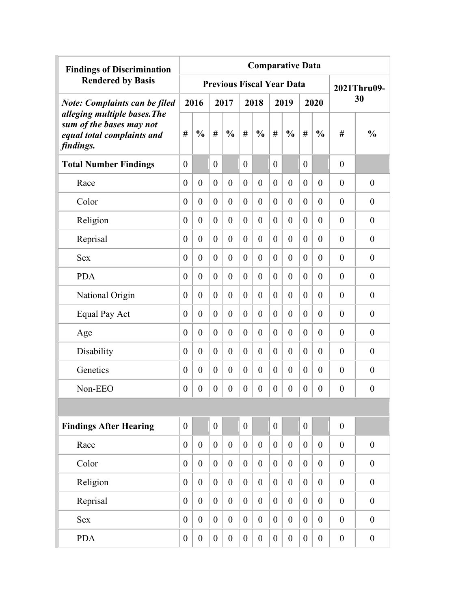| <b>Findings of Discrimination</b>                                                                   | <b>Comparative Data</b><br><b>Previous Fiscal Year Data</b> |                  |                  |                  |                  |                  |                  |                  |                  |                  |                  |                  |
|-----------------------------------------------------------------------------------------------------|-------------------------------------------------------------|------------------|------------------|------------------|------------------|------------------|------------------|------------------|------------------|------------------|------------------|------------------|
| <b>Rendered by Basis</b>                                                                            |                                                             |                  |                  |                  |                  |                  |                  |                  |                  |                  |                  | 2021Thru09-      |
| <b>Note: Complaints can be filed</b>                                                                |                                                             | 2016             |                  | 2017             |                  | 2018             |                  | 2019             |                  | 2020             |                  | 30               |
| alleging multiple bases. The<br>sum of the bases may not<br>equal total complaints and<br>findings. | #                                                           | $\frac{0}{0}$    | #                | $\frac{0}{0}$    | #                | $\frac{0}{0}$    | #                | $\frac{0}{0}$    | #                | $\frac{0}{0}$    | #                | $\frac{0}{0}$    |
| <b>Total Number Findings</b>                                                                        | $\theta$                                                    |                  | $\theta$         |                  | $\theta$         |                  | $\overline{0}$   |                  | $\theta$         |                  | $\boldsymbol{0}$ |                  |
| Race                                                                                                | $\theta$                                                    | $\boldsymbol{0}$ | $\theta$         | $\theta$         | $\overline{0}$   | $\theta$         | $\theta$         | $\overline{0}$   | $\boldsymbol{0}$ | $\overline{0}$   | $\theta$         | $\boldsymbol{0}$ |
| Color                                                                                               | $\overline{0}$                                              | $\boldsymbol{0}$ | $\theta$         | $\theta$         | $\theta$         | $\theta$         | $\theta$         | $\overline{0}$   | $\theta$         | $\theta$         | $\boldsymbol{0}$ | $\boldsymbol{0}$ |
| Religion                                                                                            | $\theta$                                                    | $\boldsymbol{0}$ | $\theta$         | $\theta$         | $\boldsymbol{0}$ | $\overline{0}$   | $\theta$         | $\overline{0}$   | $\boldsymbol{0}$ | $\overline{0}$   | $\theta$         | $\boldsymbol{0}$ |
| Reprisal                                                                                            | $\theta$                                                    | $\boldsymbol{0}$ | $\theta$         | $\theta$         | $\theta$         | $\overline{0}$   | $\theta$         | $\overline{0}$   | $\theta$         | $\theta$         | $\theta$         | $\boldsymbol{0}$ |
| <b>Sex</b>                                                                                          | $\overline{0}$                                              | $\boldsymbol{0}$ | $\theta$         | $\overline{0}$   | $\boldsymbol{0}$ | $\boldsymbol{0}$ | $\theta$         | $\boldsymbol{0}$ | $\theta$         | $\overline{0}$   | $\theta$         | $\boldsymbol{0}$ |
| <b>PDA</b>                                                                                          | $\overline{0}$                                              | $\boldsymbol{0}$ | $\theta$         | $\overline{0}$   | $\theta$         | $\overline{0}$   | $\theta$         | $\overline{0}$   | $\theta$         | $\overline{0}$   | $\theta$         | $\boldsymbol{0}$ |
| National Origin                                                                                     | $\overline{0}$                                              | $\boldsymbol{0}$ | $\theta$         | $\overline{0}$   | $\theta$         | $\overline{0}$   | $\theta$         | $\overline{0}$   | $\theta$         | $\overline{0}$   | $\theta$         | $\boldsymbol{0}$ |
| Equal Pay Act                                                                                       | $\theta$                                                    | $\boldsymbol{0}$ | $\theta$         | $\overline{0}$   | $\boldsymbol{0}$ | $\overline{0}$   | $\theta$         | $\overline{0}$   | $\theta$         | $\overline{0}$   | $\theta$         | $\boldsymbol{0}$ |
| Age                                                                                                 | $\boldsymbol{0}$                                            | $\boldsymbol{0}$ | $\theta$         | $\overline{0}$   | $\boldsymbol{0}$ | $\theta$         | $\overline{0}$   | $\mathbf{0}$     | $\theta$         | $\overline{0}$   | $\theta$         | $\boldsymbol{0}$ |
| Disability                                                                                          | $\boldsymbol{0}$                                            | $\boldsymbol{0}$ | $\theta$         | $\overline{0}$   | $\boldsymbol{0}$ | $\boldsymbol{0}$ | $\overline{0}$   | $\mathbf{0}$     | $\boldsymbol{0}$ | $\overline{0}$   | $\boldsymbol{0}$ | $\boldsymbol{0}$ |
| Genetics                                                                                            | $\boldsymbol{0}$                                            | $\boldsymbol{0}$ | $\theta$         | $\overline{0}$   | $\boldsymbol{0}$ | $\boldsymbol{0}$ | $\theta$         | $\boldsymbol{0}$ | $\boldsymbol{0}$ | $\overline{0}$   | $\theta$         | $\overline{0}$   |
| Non-EEO                                                                                             | $\boldsymbol{0}$                                            | $\boldsymbol{0}$ | $\boldsymbol{0}$ | $\boldsymbol{0}$ | $\boldsymbol{0}$ | $\boldsymbol{0}$ | $\boldsymbol{0}$ | $\boldsymbol{0}$ | $\boldsymbol{0}$ | $\boldsymbol{0}$ | $\boldsymbol{0}$ | $\boldsymbol{0}$ |
|                                                                                                     |                                                             |                  |                  |                  |                  |                  |                  |                  |                  |                  |                  |                  |
| <b>Findings After Hearing</b>                                                                       | $\boldsymbol{0}$                                            |                  | $\boldsymbol{0}$ |                  | $\boldsymbol{0}$ |                  | $\overline{0}$   |                  | $\boldsymbol{0}$ |                  | $\mathbf{0}$     |                  |
| Race                                                                                                | $\boldsymbol{0}$                                            | $\boldsymbol{0}$ | $\boldsymbol{0}$ | $\boldsymbol{0}$ | $\boldsymbol{0}$ | $\boldsymbol{0}$ | $\overline{0}$   | $\boldsymbol{0}$ | $\boldsymbol{0}$ | $\boldsymbol{0}$ | $\boldsymbol{0}$ | $\boldsymbol{0}$ |
| Color                                                                                               | $\overline{0}$                                              | $\boldsymbol{0}$ | $\boldsymbol{0}$ | $\boldsymbol{0}$ | $\boldsymbol{0}$ | $\boldsymbol{0}$ | $\overline{0}$   | $\boldsymbol{0}$ | $\boldsymbol{0}$ | $\boldsymbol{0}$ | $\boldsymbol{0}$ | $\boldsymbol{0}$ |
| Religion                                                                                            | $\overline{0}$                                              | $\boldsymbol{0}$ | $\overline{0}$   | $\boldsymbol{0}$ | $\boldsymbol{0}$ | $\boldsymbol{0}$ | $\overline{0}$   | $\boldsymbol{0}$ | $\boldsymbol{0}$ | $\boldsymbol{0}$ | $\boldsymbol{0}$ | $\mathbf{0}$     |
| Reprisal                                                                                            | $\overline{0}$                                              | $\boldsymbol{0}$ | $\overline{0}$   | $\boldsymbol{0}$ | $\theta$         | $\overline{0}$   | $\overline{0}$   | $\theta$         | $\theta$         | $\boldsymbol{0}$ | $\boldsymbol{0}$ | $\mathbf{0}$     |
| <b>Sex</b>                                                                                          | $\boldsymbol{0}$                                            | $\boldsymbol{0}$ | $\overline{0}$   | $\boldsymbol{0}$ | $\boldsymbol{0}$ | $\boldsymbol{0}$ | $\overline{0}$   | $\boldsymbol{0}$ | $\boldsymbol{0}$ | $\boldsymbol{0}$ | $\boldsymbol{0}$ | $\overline{0}$   |
| <b>PDA</b>                                                                                          | $\boldsymbol{0}$                                            | $\boldsymbol{0}$ | $\boldsymbol{0}$ | $\boldsymbol{0}$ | $\boldsymbol{0}$ | $\boldsymbol{0}$ | $\overline{0}$   | $\boldsymbol{0}$ | $\boldsymbol{0}$ | $\boldsymbol{0}$ | $\boldsymbol{0}$ | $\boldsymbol{0}$ |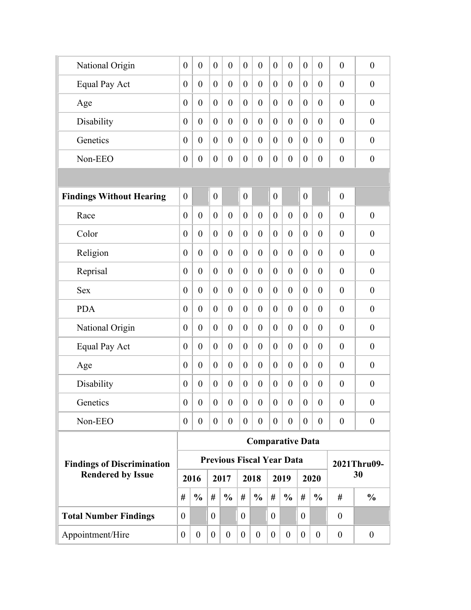| National Origin                   | $\theta$         | $\overline{0}$   | $\overline{0}$   | $\overline{0}$   | $\theta$         | $\theta$         | $\overline{0}$   | $\theta$                         | $\overline{0}$   | $\overline{0}$   | $\overline{0}$   | $\boldsymbol{0}$ |
|-----------------------------------|------------------|------------------|------------------|------------------|------------------|------------------|------------------|----------------------------------|------------------|------------------|------------------|------------------|
| Equal Pay Act                     | $\boldsymbol{0}$ | $\boldsymbol{0}$ | $\overline{0}$   | $\overline{0}$   | $\theta$         | $\overline{0}$   | $\theta$         | $\boldsymbol{0}$                 | $\overline{0}$   | $\overline{0}$   | $\boldsymbol{0}$ | $\boldsymbol{0}$ |
| Age                               | $\overline{0}$   | $\boldsymbol{0}$ | $\overline{0}$   | $\overline{0}$   | $\theta$         | $\overline{0}$   | $\theta$         | $\boldsymbol{0}$                 | $\overline{0}$   | $\overline{0}$   | $\boldsymbol{0}$ | $\boldsymbol{0}$ |
| Disability                        | $\overline{0}$   | $\boldsymbol{0}$ | $\overline{0}$   | $\overline{0}$   | $\theta$         | $\boldsymbol{0}$ | $\theta$         | $\boldsymbol{0}$                 | $\overline{0}$   | $\overline{0}$   | $\boldsymbol{0}$ | $\boldsymbol{0}$ |
| Genetics                          | $\theta$         | $\overline{0}$   | $\overline{0}$   | $\theta$         | $\theta$         | $\overline{0}$   | $\theta$         | $\theta$                         | $\overline{0}$   | $\overline{0}$   | $\overline{0}$   | $\overline{0}$   |
| Non-EEO                           | $\boldsymbol{0}$ | $\boldsymbol{0}$ | $\boldsymbol{0}$ | $\boldsymbol{0}$ | $\boldsymbol{0}$ | $\boldsymbol{0}$ | $\boldsymbol{0}$ | $\boldsymbol{0}$                 | $\boldsymbol{0}$ | $\overline{0}$   | $\boldsymbol{0}$ | $\boldsymbol{0}$ |
|                                   |                  |                  |                  |                  |                  |                  |                  |                                  |                  |                  |                  |                  |
| <b>Findings Without Hearing</b>   | $\boldsymbol{0}$ |                  | $\boldsymbol{0}$ |                  | $\overline{0}$   |                  | $\overline{0}$   |                                  | $\boldsymbol{0}$ |                  | $\boldsymbol{0}$ |                  |
| Race                              | $\overline{0}$   | $\overline{0}$   | $\overline{0}$   | $\overline{0}$   | $\theta$         | $\mathbf{0}$     | $\theta$         | $\theta$                         | $\theta$         | $\theta$         | $\overline{0}$   | $\mathbf{0}$     |
| Color                             | $\overline{0}$   | $\overline{0}$   | $\overline{0}$   | $\overline{0}$   | $\theta$         | $\overline{0}$   | $\theta$         | $\overline{0}$                   | $\overline{0}$   | $\overline{0}$   | $\overline{0}$   | $\boldsymbol{0}$ |
| Religion                          | $\overline{0}$   | $\overline{0}$   | $\overline{0}$   | $\overline{0}$   | $\theta$         | $\overline{0}$   | $\theta$         | $\overline{0}$                   | $\overline{0}$   | $\overline{0}$   | $\boldsymbol{0}$ | $\boldsymbol{0}$ |
| Reprisal                          | $\overline{0}$   | $\overline{0}$   | $\overline{0}$   | $\overline{0}$   | $\theta$         | $\overline{0}$   | $\theta$         | $\mathbf{0}$                     | $\overline{0}$   | $\overline{0}$   | $\boldsymbol{0}$ | $\boldsymbol{0}$ |
| Sex                               | $\boldsymbol{0}$ | $\overline{0}$   | $\mathbf{0}$     | $\overline{0}$   | $\theta$         | $\overline{0}$   | $\theta$         | $\overline{0}$                   | $\overline{0}$   | $\overline{0}$   | $\boldsymbol{0}$ | $\boldsymbol{0}$ |
| <b>PDA</b>                        | $\boldsymbol{0}$ | $\boldsymbol{0}$ | $\mathbf{0}$     | $\overline{0}$   | $\overline{0}$   | $\overline{0}$   | $\theta$         | $\mathbf{0}$                     | $\overline{0}$   | $\overline{0}$   | $\boldsymbol{0}$ | $\boldsymbol{0}$ |
| National Origin                   | $\boldsymbol{0}$ | $\boldsymbol{0}$ | $\overline{0}$   | $\overline{0}$   | $\overline{0}$   | $\boldsymbol{0}$ | $\theta$         | $\mathbf{0}$                     | $\boldsymbol{0}$ | $\overline{0}$   | $\boldsymbol{0}$ | $\boldsymbol{0}$ |
| <b>Equal Pay Act</b>              | $\boldsymbol{0}$ | $\boldsymbol{0}$ | $\theta$         | $\overline{0}$   | $\overline{0}$   | $\overline{0}$   | $\theta$         | $\theta$                         | $\overline{0}$   | $\overline{0}$   | $\boldsymbol{0}$ | $\boldsymbol{0}$ |
| Age                               | $\boldsymbol{0}$ | $\boldsymbol{0}$ | $\theta$         | $\overline{0}$   | $\boldsymbol{0}$ | $\boldsymbol{0}$ | $\theta$         | $\theta$                         | $\overline{0}$   | $\overline{0}$   | $\overline{0}$   | $\boldsymbol{0}$ |
| Disability                        | $\boldsymbol{0}$ | $\boldsymbol{0}$ | $\boldsymbol{0}$ | $\boldsymbol{0}$ | $\boldsymbol{0}$ | $\boldsymbol{0}$ | $\theta$         | $\theta$                         | $\boldsymbol{0}$ | $\boldsymbol{0}$ | $\boldsymbol{0}$ | $\boldsymbol{0}$ |
| Genetics                          | $\boldsymbol{0}$ | $\boldsymbol{0}$ | $\boldsymbol{0}$ | $\boldsymbol{0}$ | $\boldsymbol{0}$ | $\boldsymbol{0}$ | $\boldsymbol{0}$ | $\boldsymbol{0}$                 | $\boldsymbol{0}$ | $\boldsymbol{0}$ | $\boldsymbol{0}$ | $\boldsymbol{0}$ |
| Non-EEO                           | $\boldsymbol{0}$ | $\boldsymbol{0}$ | $\boldsymbol{0}$ | $\boldsymbol{0}$ | $\boldsymbol{0}$ | $\boldsymbol{0}$ | $\theta$         | $\boldsymbol{0}$                 | $\boldsymbol{0}$ | $\boldsymbol{0}$ | $\boldsymbol{0}$ | $\boldsymbol{0}$ |
|                                   |                  |                  |                  |                  |                  |                  |                  | <b>Comparative Data</b>          |                  |                  |                  |                  |
| <b>Findings of Discrimination</b> |                  |                  |                  |                  |                  |                  |                  | <b>Previous Fiscal Year Data</b> |                  |                  |                  | 2021Thru09-      |
| <b>Rendered by Issue</b>          |                  | 2016             |                  | 2017             |                  | 2018             |                  | 2019                             |                  | 2020             |                  | 30               |
|                                   | #                | $\frac{0}{0}$    | #                | $\frac{0}{0}$    | #                | $\frac{0}{0}$    | #                | $\frac{0}{0}$                    | #                | $\frac{0}{0}$    | #                | $\frac{0}{0}$    |
| <b>Total Number Findings</b>      | $\theta$         |                  | $\theta$         |                  | $\boldsymbol{0}$ |                  | $\overline{0}$   |                                  | $\overline{0}$   |                  | $\boldsymbol{0}$ |                  |
| Appointment/Hire                  | $\boldsymbol{0}$ | $\boldsymbol{0}$ | $\boldsymbol{0}$ | $\boldsymbol{0}$ | $\boldsymbol{0}$ | $\boldsymbol{0}$ | $\overline{0}$   | $\boldsymbol{0}$                 | $\boldsymbol{0}$ | $\boldsymbol{0}$ | $\boldsymbol{0}$ | $\boldsymbol{0}$ |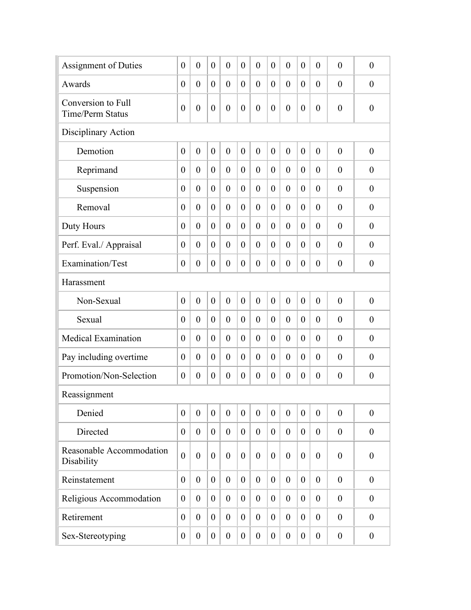| Assignment of Duties                          | $\overline{0}$   | $\overline{0}$   | $\theta$         | $\overline{0}$   | $\theta$         | $\overline{0}$   | $\theta$         | $\overline{0}$   | $\theta$         | $\overline{0}$   | $\theta$         | $\overline{0}$   |
|-----------------------------------------------|------------------|------------------|------------------|------------------|------------------|------------------|------------------|------------------|------------------|------------------|------------------|------------------|
| Awards                                        | $\overline{0}$   | $\overline{0}$   | $\theta$         | $\overline{0}$   | $\theta$         | $\theta$         | $\theta$         | $\overline{0}$   | $\overline{0}$   | $\theta$         | $\theta$         | $\overline{0}$   |
| Conversion to Full<br><b>Time/Perm Status</b> | $\boldsymbol{0}$ | $\boldsymbol{0}$ | $\theta$         | $\boldsymbol{0}$ | $\boldsymbol{0}$ | $\overline{0}$   | $\boldsymbol{0}$ | $\boldsymbol{0}$ | $\overline{0}$   | $\overline{0}$   | $\theta$         | $\boldsymbol{0}$ |
| Disciplinary Action                           |                  |                  |                  |                  |                  |                  |                  |                  |                  |                  |                  |                  |
| Demotion                                      | $\overline{0}$   | $\overline{0}$   | $\mathbf{0}$     | $\overline{0}$   | $\mathbf{0}$     | $\overline{0}$   | $\mathbf{0}$     | $\overline{0}$   | $\theta$         | $\overline{0}$   | $\theta$         | $\boldsymbol{0}$ |
| Reprimand                                     | $\overline{0}$   | $\overline{0}$   | $\theta$         | $\overline{0}$   | $\theta$         | $\theta$         | $\theta$         | $\theta$         | $\overline{0}$   | $\overline{0}$   | $\theta$         | $\overline{0}$   |
| Suspension                                    | $\boldsymbol{0}$ | $\overline{0}$   | $\theta$         | $\overline{0}$   | $\theta$         | $\theta$         | $\overline{0}$   | $\overline{0}$   | $\overline{0}$   | $\theta$         | $\theta$         | $\overline{0}$   |
| Removal                                       | $\overline{0}$   | $\overline{0}$   | $\theta$         | $\overline{0}$   | $\theta$         | $\overline{0}$   | $\overline{0}$   | $\overline{0}$   | $\overline{0}$   | $\overline{0}$   | $\theta$         | $\overline{0}$   |
| Duty Hours                                    | $\overline{0}$   | $\overline{0}$   | $\overline{0}$   | $\overline{0}$   | $\theta$         | $\overline{0}$   | $\overline{0}$   | $\overline{0}$   | $\overline{0}$   | $\overline{0}$   | $\theta$         | $\overline{0}$   |
| Perf. Eval./ Appraisal                        | $\boldsymbol{0}$ | $\overline{0}$   | $\theta$         | $\overline{0}$   | $\theta$         | $\overline{0}$   | $\overline{0}$   | $\overline{0}$   | $\theta$         | $\overline{0}$   | $\theta$         | $\overline{0}$   |
| Examination/Test                              | $\boldsymbol{0}$ | $\boldsymbol{0}$ | $\boldsymbol{0}$ | $\boldsymbol{0}$ | $\boldsymbol{0}$ | $\overline{0}$   | $\overline{0}$   | $\boldsymbol{0}$ | $\theta$         | $\overline{0}$   | $\theta$         | $\boldsymbol{0}$ |
| Harassment                                    |                  |                  |                  |                  |                  |                  |                  |                  |                  |                  |                  |                  |
| Non-Sexual                                    | $\boldsymbol{0}$ | $\overline{0}$   | $\mathbf{0}$     | $\overline{0}$   | $\overline{0}$   | $\overline{0}$   | $\mathbf{0}$     | $\overline{0}$   | $\overline{0}$   | $\overline{0}$   | $\theta$         | $\overline{0}$   |
| Sexual                                        | $\overline{0}$   | $\overline{0}$   | $\theta$         | $\overline{0}$   | $\theta$         | $\overline{0}$   | $\theta$         | $\overline{0}$   | $\overline{0}$   | $\theta$         | $\theta$         | $\theta$         |
| <b>Medical Examination</b>                    | $\overline{0}$   | $\overline{0}$   | $\theta$         | $\overline{0}$   | $\theta$         | $\overline{0}$   | $\theta$         | $\overline{0}$   | $\overline{0}$   | $\theta$         | $\theta$         | $\overline{0}$   |
| Pay including overtime                        | $\overline{0}$   | $\overline{0}$   | $\theta$         | $\overline{0}$   | $\theta$         | $\theta$         | $\theta$         | $\overline{0}$   | $\overline{0}$   | $\theta$         | $\theta$         | $\theta$         |
| Promotion/Non-Selection                       | $\boldsymbol{0}$ | $\boldsymbol{0}$ | $\boldsymbol{0}$ | $\boldsymbol{0}$ | $\boldsymbol{0}$ | $\boldsymbol{0}$ | $\boldsymbol{0}$ | $\boldsymbol{0}$ | $\boldsymbol{0}$ | $\boldsymbol{0}$ | $\boldsymbol{0}$ | $\boldsymbol{0}$ |
| Reassignment                                  |                  |                  |                  |                  |                  |                  |                  |                  |                  |                  |                  |                  |
| Denied                                        | $\theta$         | $\boldsymbol{0}$ | $\overline{0}$   | $\overline{0}$   | $\theta$         | $\overline{0}$   | $\theta$         | $\mathbf{0}$     | $\overline{0}$   | $\overline{0}$   | $\theta$         | $\boldsymbol{0}$ |
| Directed                                      | $\theta$         | $\boldsymbol{0}$ | $\overline{0}$   | $\overline{0}$   | $\theta$         | $\overline{0}$   | $\boldsymbol{0}$ | $\theta$         | $\overline{0}$   | $\boldsymbol{0}$ | $\theta$         | $\boldsymbol{0}$ |
| Reasonable Accommodation<br>Disability        | $\overline{0}$   | $\overline{0}$   | $\theta$         | $\boldsymbol{0}$ | $\boldsymbol{0}$ | $\mathbf{0}$     | $\theta$         | $\overline{0}$   | $\theta$         | $\theta$         | $\theta$         | $\boldsymbol{0}$ |
| Reinstatement                                 | $\theta$         | $\mathbf{0}$     | $\overline{0}$   | $\overline{0}$   | $\theta$         | $\overline{0}$   | $\theta$         | $\mathbf{0}$     | $\overline{0}$   | $\overline{0}$   | $\theta$         | $\overline{0}$   |
| Religious Accommodation                       | $\theta$         | $\theta$         | $\overline{0}$   | $\overline{0}$   | $\theta$         | $\overline{0}$   | $\overline{0}$   | $\theta$         | $\overline{0}$   | $\overline{0}$   | $\theta$         | $\overline{0}$   |
| Retirement                                    | $\overline{0}$   | $\mathbf{0}$     | $\overline{0}$   | $\overline{0}$   | $\theta$         | $\overline{0}$   | $\theta$         | $\overline{0}$   | $\overline{0}$   | $\overline{0}$   | $\theta$         | $\overline{0}$   |
| Sex-Stereotyping                              | $\boldsymbol{0}$ | $\boldsymbol{0}$ | $\overline{0}$   | $\boldsymbol{0}$ | $\boldsymbol{0}$ | $\boldsymbol{0}$ | $\overline{0}$   | $\boldsymbol{0}$ | $\overline{0}$   | $\boldsymbol{0}$ | $\boldsymbol{0}$ | $\boldsymbol{0}$ |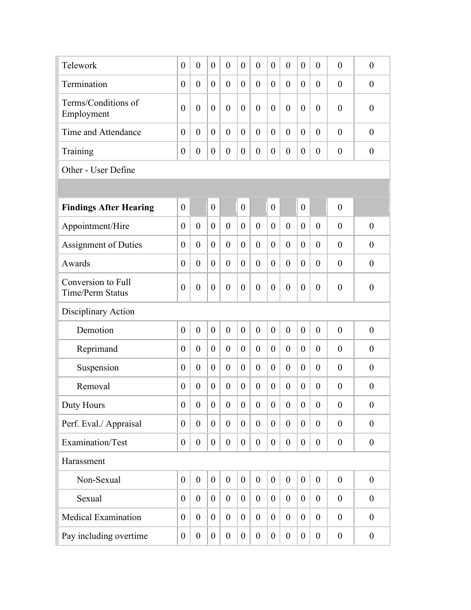| Telework                                      | $\theta$         | $\boldsymbol{0}$ | $\theta$         | $\theta$         | $\theta$         | $\overline{0}$   | $\theta$         | $\theta$         | $\theta$         | $\overline{0}$   | $\overline{0}$   | $\overline{0}$   |
|-----------------------------------------------|------------------|------------------|------------------|------------------|------------------|------------------|------------------|------------------|------------------|------------------|------------------|------------------|
| Termination                                   | $\theta$         | $\boldsymbol{0}$ | $\theta$         | $\overline{0}$   | $\overline{0}$   | $\overline{0}$   | $\theta$         | $\boldsymbol{0}$ | $\theta$         | $\theta$         | $\overline{0}$   | $\boldsymbol{0}$ |
| Terms/Conditions of<br>Employment             | $\overline{0}$   | $\overline{0}$   | $\theta$         | $\boldsymbol{0}$ | $\theta$         | $\theta$         | $\boldsymbol{0}$ | $\overline{0}$   | $\overline{0}$   | $\overline{0}$   | $\overline{0}$   | $\boldsymbol{0}$ |
| Time and Attendance                           | $\theta$         | $\overline{0}$   | $\theta$         | $\overline{0}$   | $\overline{0}$   | $\theta$         | $\theta$         | $\mathbf{0}$     | $\theta$         | $\theta$         | $\theta$         | $\overline{0}$   |
| Training                                      | $\boldsymbol{0}$ | $\boldsymbol{0}$ | $\boldsymbol{0}$ | $\boldsymbol{0}$ | $\overline{0}$   | $\overline{0}$   | $\boldsymbol{0}$ | $\boldsymbol{0}$ | $\theta$         | $\boldsymbol{0}$ | $\boldsymbol{0}$ | $\overline{0}$   |
| Other - User Define                           |                  |                  |                  |                  |                  |                  |                  |                  |                  |                  |                  |                  |
|                                               |                  |                  |                  |                  |                  |                  |                  |                  |                  |                  |                  |                  |
| <b>Findings After Hearing</b>                 | $\theta$         |                  | $\overline{0}$   |                  | $\theta$         |                  | $\overline{0}$   |                  | $\overline{0}$   |                  | $\theta$         |                  |
| Appointment/Hire                              | $\theta$         | $\overline{0}$   | $\theta$         | $\theta$         | $\theta$         | $\overline{0}$   | $\overline{0}$   | $\theta$         | $\overline{0}$   | $\theta$         | $\theta$         | $\overline{0}$   |
| <b>Assignment of Duties</b>                   | $\theta$         | $\overline{0}$   | $\theta$         | $\overline{0}$   | $\theta$         | $\overline{0}$   | $\theta$         | $\overline{0}$   | $\theta$         | $\theta$         | $\theta$         | $\overline{0}$   |
| Awards                                        | $\theta$         | $\overline{0}$   | $\theta$         | $\theta$         | $\theta$         | $\overline{0}$   | $\theta$         | $\overline{0}$   | $\theta$         | $\theta$         | $\theta$         | $\boldsymbol{0}$ |
| Conversion to Full<br><b>Time/Perm Status</b> | $\theta$         | $\overline{0}$   | $\overline{0}$   | $\theta$         | $\boldsymbol{0}$ | $\overline{0}$   | $\theta$         | $\boldsymbol{0}$ | $\theta$         | $\theta$         | $\overline{0}$   | $\overline{0}$   |
| Disciplinary Action                           |                  |                  |                  |                  |                  |                  |                  |                  |                  |                  |                  |                  |
| Demotion                                      | $\mathbf{0}$     | $\overline{0}$   | $\overline{0}$   | $\overline{0}$   | $\overline{0}$   | $\overline{0}$   | $\mathbf{0}$     | $\overline{0}$   | $\theta$         | $\mathbf{0}$     | $\overline{0}$   | $\boldsymbol{0}$ |
| Reprimand                                     | $\theta$         | $\overline{0}$   | $\theta$         | $\boldsymbol{0}$ | $\overline{0}$   | $\overline{0}$   | $\theta$         | $\mathbf{0}$     | $\theta$         | $\overline{0}$   | $\overline{0}$   | $\boldsymbol{0}$ |
| Suspension                                    | $\theta$         | $\overline{0}$   | $\overline{0}$   | $\boldsymbol{0}$ | $\overline{0}$   | $\overline{0}$   | $\theta$         | $\mathbf{0}$     | $\theta$         | $\overline{0}$   | $\theta$         | $\overline{0}$   |
| Removal                                       | $\theta$         | $\boldsymbol{0}$ | $\overline{0}$   | $\boldsymbol{0}$ | $\boldsymbol{0}$ | $\overline{0}$   | $\overline{0}$   | $\boldsymbol{0}$ | $\theta$         | $\theta$         | $\overline{0}$   | $\boldsymbol{0}$ |
| Duty Hours                                    | $\boldsymbol{0}$ | $\boldsymbol{0}$ | $\boldsymbol{0}$ | $\overline{0}$   | $\boldsymbol{0}$ | $\overline{0}$   | $\boldsymbol{0}$ | $\overline{0}$   | $\theta$         | $\overline{0}$   | $\overline{0}$   | $\boldsymbol{0}$ |
| Perf. Eval./ Appraisal                        | $\boldsymbol{0}$ | $\overline{0}$   | $\theta$         | $\boldsymbol{0}$ | $\boldsymbol{0}$ | $\overline{0}$   | $\boldsymbol{0}$ | $\mathbf{0}$     | $\overline{0}$   | $\boldsymbol{0}$ | $\mathbf{0}$     | $\overline{0}$   |
| Examination/Test                              | $\boldsymbol{0}$ | $\overline{0}$   | $\boldsymbol{0}$ | $\boldsymbol{0}$ | $\boldsymbol{0}$ | $\boldsymbol{0}$ | $\boldsymbol{0}$ | $\boldsymbol{0}$ | $\boldsymbol{0}$ | $\boldsymbol{0}$ | $\boldsymbol{0}$ | $\boldsymbol{0}$ |
| Harassment                                    |                  |                  |                  |                  |                  |                  |                  |                  |                  |                  |                  |                  |
| Non-Sexual                                    | $\boldsymbol{0}$ | $\boldsymbol{0}$ | $\boldsymbol{0}$ | $\boldsymbol{0}$ | $\overline{0}$   | $\overline{0}$   | $\boldsymbol{0}$ | $\boldsymbol{0}$ | $\theta$         | $\boldsymbol{0}$ | $\theta$         | $\boldsymbol{0}$ |
| Sexual                                        | $\theta$         | $\boldsymbol{0}$ | $\overline{0}$   | $\boldsymbol{0}$ | $\boldsymbol{0}$ | $\overline{0}$   | $\boldsymbol{0}$ | $\boldsymbol{0}$ | $\overline{0}$   | $\boldsymbol{0}$ | $\theta$         | $\overline{0}$   |
| <b>Medical Examination</b>                    | $\boldsymbol{0}$ | $\boldsymbol{0}$ | $\theta$         | $\boldsymbol{0}$ | $\boldsymbol{0}$ | $\overline{0}$   | $\boldsymbol{0}$ | $\boldsymbol{0}$ | $\overline{0}$   | $\boldsymbol{0}$ | $\theta$         | $\boldsymbol{0}$ |
| Pay including overtime                        | $\boldsymbol{0}$ | $\boldsymbol{0}$ | $\overline{0}$   | $\boldsymbol{0}$ | $\boldsymbol{0}$ | $\boldsymbol{0}$ | $\boldsymbol{0}$ | $\boldsymbol{0}$ | $\overline{0}$   | $\boldsymbol{0}$ | $\boldsymbol{0}$ | $\boldsymbol{0}$ |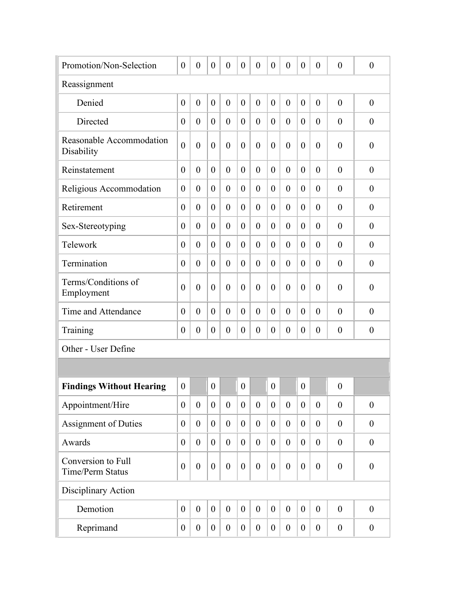| Promotion/Non-Selection                       | $\boldsymbol{0}$ | $\boldsymbol{0}$ | $\boldsymbol{0}$ | $\boldsymbol{0}$ | $\overline{0}$   | $\overline{0}$   | $\overline{0}$   | $\boldsymbol{0}$ | $\boldsymbol{0}$ | $\boldsymbol{0}$ | $\overline{0}$   | $\boldsymbol{0}$ |
|-----------------------------------------------|------------------|------------------|------------------|------------------|------------------|------------------|------------------|------------------|------------------|------------------|------------------|------------------|
| Reassignment                                  |                  |                  |                  |                  |                  |                  |                  |                  |                  |                  |                  |                  |
| Denied                                        | $\overline{0}$   | $\overline{0}$   | $\theta$         | $\overline{0}$   | $\overline{0}$   | $\overline{0}$   | $\overline{0}$   | $\overline{0}$   | $\overline{0}$   | $\overline{0}$   | $\overline{0}$   | $\overline{0}$   |
| Directed                                      | $\overline{0}$   | $\theta$         | $\theta$         | $\overline{0}$   | $\overline{0}$   | $\overline{0}$   | $\theta$         | $\overline{0}$   | $\theta$         | $\theta$         | $\theta$         | $\theta$         |
| Reasonable Accommodation<br>Disability        | $\overline{0}$   | $\overline{0}$   | $\overline{0}$   | $\overline{0}$   | $\overline{0}$   | $\overline{0}$   | $\overline{0}$   | $\overline{0}$   | $\theta$         | $\theta$         | $\overline{0}$   | $\theta$         |
| Reinstatement                                 | $\theta$         | $\overline{0}$   | $\theta$         | $\overline{0}$   | $\overline{0}$   | $\overline{0}$   | $\theta$         | $\overline{0}$   | $\overline{0}$   | $\overline{0}$   | $\overline{0}$   | $\overline{0}$   |
| Religious Accommodation                       | $\theta$         | $\overline{0}$   | $\theta$         | $\overline{0}$   | $\overline{0}$   | $\overline{0}$   | $\overline{0}$   | $\overline{0}$   | $\theta$         | $\overline{0}$   | $\overline{0}$   | $\overline{0}$   |
| Retirement                                    | $\theta$         | $\theta$         | $\theta$         | $\overline{0}$   | $\overline{0}$   | $\theta$         | $\theta$         | $\overline{0}$   | $\theta$         | $\overline{0}$   | $\overline{0}$   | $\overline{0}$   |
| Sex-Stereotyping                              | $\overline{0}$   | $\overline{0}$   | $\theta$         | $\overline{0}$   | $\overline{0}$   | $\theta$         | $\theta$         | $\overline{0}$   | $\theta$         | $\overline{0}$   | $\overline{0}$   | $\overline{0}$   |
| Telework                                      | $\overline{0}$   | $\overline{0}$   | $\theta$         | $\overline{0}$   | $\overline{0}$   | $\theta$         | $\theta$         | $\overline{0}$   | $\theta$         | $\theta$         | $\overline{0}$   | $\overline{0}$   |
| Termination                                   | $\overline{0}$   | $\overline{0}$   | $\theta$         | $\overline{0}$   | $\overline{0}$   | $\theta$         | $\theta$         | $\overline{0}$   | $\theta$         | $\theta$         | $\overline{0}$   | $\overline{0}$   |
| Terms/Conditions of<br>Employment             | $\overline{0}$   | $\overline{0}$   | $\theta$         | $\overline{0}$   | $\overline{0}$   | $\overline{0}$   | $\overline{0}$   | $\theta$         | $\theta$         | $\overline{0}$   | $\overline{0}$   | $\overline{0}$   |
| Time and Attendance                           | $\overline{0}$   | $\overline{0}$   | $\theta$         | $\overline{0}$   | $\overline{0}$   | $\theta$         | $\theta$         | $\overline{0}$   | $\theta$         | $\theta$         | $\theta$         | $\overline{0}$   |
| Training                                      | $\boldsymbol{0}$ | $\boldsymbol{0}$ | $\boldsymbol{0}$ | $\boldsymbol{0}$ | $\boldsymbol{0}$ | $\boldsymbol{0}$ | $\boldsymbol{0}$ | $\boldsymbol{0}$ | $\boldsymbol{0}$ | $\theta$         | $\theta$         | $\boldsymbol{0}$ |
| Other - User Define                           |                  |                  |                  |                  |                  |                  |                  |                  |                  |                  |                  |                  |
|                                               |                  |                  |                  |                  |                  |                  |                  |                  |                  |                  |                  |                  |
| <b>Findings Without Hearing</b>               | $\theta$         |                  | $\theta$         |                  | $\overline{0}$   |                  | $\theta$         |                  | $\theta$         |                  | $\theta$         |                  |
| Appointment/Hire                              | $\boldsymbol{0}$ | $\boldsymbol{0}$ | $\boldsymbol{0}$ | $\boldsymbol{0}$ | $\boldsymbol{0}$ | $\boldsymbol{0}$ | $\boldsymbol{0}$ | $\boldsymbol{0}$ | $\boldsymbol{0}$ | $\boldsymbol{0}$ | $\boldsymbol{0}$ | $\boldsymbol{0}$ |
| Assignment of Duties                          | $\boldsymbol{0}$ | $\boldsymbol{0}$ | $\theta$         | $\boldsymbol{0}$ | $\overline{0}$   | $\theta$         | $\boldsymbol{0}$ | $\boldsymbol{0}$ | $\overline{0}$   | $\boldsymbol{0}$ | $\boldsymbol{0}$ | $\boldsymbol{0}$ |
| Awards                                        | $\boldsymbol{0}$ | $\boldsymbol{0}$ | $\overline{0}$   | $\boldsymbol{0}$ | $\boldsymbol{0}$ | $\overline{0}$   | $\boldsymbol{0}$ | $\boldsymbol{0}$ | $\overline{0}$   | $\boldsymbol{0}$ | $\boldsymbol{0}$ | $\boldsymbol{0}$ |
| Conversion to Full<br><b>Time/Perm Status</b> | $\boldsymbol{0}$ | $\boldsymbol{0}$ | $\theta$         | $\boldsymbol{0}$ | $\boldsymbol{0}$ | $\mathbf{0}$     | $\boldsymbol{0}$ | $\boldsymbol{0}$ | $\boldsymbol{0}$ | $\boldsymbol{0}$ | $\boldsymbol{0}$ | $\boldsymbol{0}$ |
| Disciplinary Action                           |                  |                  |                  |                  |                  |                  |                  |                  |                  |                  |                  |                  |
| Demotion                                      | $\boldsymbol{0}$ | $\boldsymbol{0}$ | $\boldsymbol{0}$ | $\boldsymbol{0}$ | $\boldsymbol{0}$ | $\boldsymbol{0}$ | $\boldsymbol{0}$ | $\boldsymbol{0}$ | $\boldsymbol{0}$ | $\boldsymbol{0}$ | $\overline{0}$   | $\boldsymbol{0}$ |
| Reprimand                                     | $\boldsymbol{0}$ | $\boldsymbol{0}$ | $\boldsymbol{0}$ | $\boldsymbol{0}$ | $\overline{0}$   | $\boldsymbol{0}$ | $\boldsymbol{0}$ | $\boldsymbol{0}$ | $\overline{0}$   | $\boldsymbol{0}$ | $\boldsymbol{0}$ | $\boldsymbol{0}$ |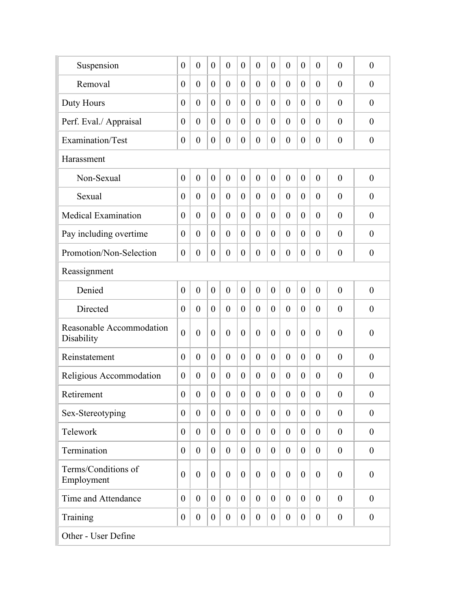| Suspension                             | $\overline{0}$   | $\overline{0}$   | $\theta$         | $\overline{0}$   | $\theta$         | $\overline{0}$   | $\overline{0}$   | $\overline{0}$   | $\theta$         | $\theta$         | $\theta$         | $\overline{0}$   |
|----------------------------------------|------------------|------------------|------------------|------------------|------------------|------------------|------------------|------------------|------------------|------------------|------------------|------------------|
| Removal                                | $\theta$         | $\boldsymbol{0}$ | $\overline{0}$   | $\theta$         | $\overline{0}$   | $\overline{0}$   | $\overline{0}$   | $\overline{0}$   | $\theta$         | 0                | $\theta$         | $\theta$         |
| Duty Hours                             | $\theta$         | $\overline{0}$   | $\theta$         | $\theta$         | $\theta$         | $\overline{0}$   | $\overline{0}$   | $\overline{0}$   | $\theta$         | $\theta$         | $\theta$         | $\theta$         |
| Perf. Eval./ Appraisal                 | $\theta$         | $\overline{0}$   | $\theta$         | $\theta$         | $\overline{0}$   | $\overline{0}$   | $\theta$         | $\overline{0}$   | $\theta$         | $\theta$         | $\theta$         | $\theta$         |
| Examination/Test                       | $\boldsymbol{0}$ | $\boldsymbol{0}$ | $\theta$         | $\boldsymbol{0}$ | $\boldsymbol{0}$ | $\overline{0}$   | $\boldsymbol{0}$ | $\boldsymbol{0}$ | $\theta$         | $\overline{0}$   | $\boldsymbol{0}$ | $\boldsymbol{0}$ |
| Harassment                             |                  |                  |                  |                  |                  |                  |                  |                  |                  |                  |                  |                  |
| Non-Sexual                             | $\overline{0}$   | $\overline{0}$   | $\overline{0}$   | $\overline{0}$   | $\overline{0}$   | $\overline{0}$   | $\mathbf{0}$     | $\overline{0}$   | $\mathbf{0}$     | $\overline{0}$   | $\theta$         | $\overline{0}$   |
| Sexual                                 | $\overline{0}$   | $\overline{0}$   | $\theta$         | $\overline{0}$   | $\overline{0}$   | $\overline{0}$   | $\overline{0}$   | $\overline{0}$   | $\theta$         | $\overline{0}$   | $\theta$         | $\overline{0}$   |
| <b>Medical Examination</b>             | $\theta$         | $\overline{0}$   | $\theta$         | $\overline{0}$   | $\overline{0}$   | $\overline{0}$   | $\theta$         | $\overline{0}$   | $\theta$         | $\theta$         | $\theta$         | $\theta$         |
| Pay including overtime                 | $\overline{0}$   | $\overline{0}$   | $\theta$         | $\overline{0}$   | $\theta$         | $\theta$         | $\theta$         | $\overline{0}$   | $\theta$         | $\theta$         | $\theta$         | $\theta$         |
| Promotion/Non-Selection                | $\theta$         | $\overline{0}$   | $\theta$         | $\overline{0}$   | $\boldsymbol{0}$ | $\theta$         | $\theta$         | $\overline{0}$   | $\theta$         | $\theta$         | $\theta$         | $\theta$         |
| Reassignment                           |                  |                  |                  |                  |                  |                  |                  |                  |                  |                  |                  |                  |
| Denied                                 | $\overline{0}$   | $\overline{0}$   | $\overline{0}$   | $\overline{0}$   | $\mathbf{0}$     | $\overline{0}$   | $\theta$         | $\overline{0}$   | $\theta$         | $\overline{0}$   | $\theta$         | $\overline{0}$   |
| Directed                               | $\theta$         | $\overline{0}$   | $\theta$         | $\overline{0}$   | $\overline{0}$   | $\overline{0}$   | $\theta$         | $\overline{0}$   | $\theta$         | $\overline{0}$   | $\theta$         | $\overline{0}$   |
| Reasonable Accommodation<br>Disability | $\overline{0}$   | $\overline{0}$   | $\theta$         | $\overline{0}$   | $\overline{0}$   | $\overline{0}$   | $\overline{0}$   | $\overline{0}$   | $\overline{0}$   | $\theta$         | $\theta$         | $\overline{0}$   |
| Reinstatement                          | $\theta$         | $\overline{0}$   | $\theta$         | $\overline{0}$   | $\overline{0}$   | $\theta$         | $\theta$         | $\overline{0}$   | $\theta$         | $\theta$         | $\theta$         | $\theta$         |
| Religious Accommodation                | $\theta$         | $\theta$         | $\overline{0}$   | $\theta$         | $\theta$         | $\theta$         | $\overline{0}$   | $\overline{0}$   | $\theta$         | $\overline{0}$   | $\theta$         | $\theta$         |
| Retirement                             | $\boldsymbol{0}$ | $\boldsymbol{0}$ | $\boldsymbol{0}$ | $\boldsymbol{0}$ | $\boldsymbol{0}$ | $\boldsymbol{0}$ | $\boldsymbol{0}$ | $\boldsymbol{0}$ | $\boldsymbol{0}$ | $\boldsymbol{0}$ | $\boldsymbol{0}$ | $\boldsymbol{0}$ |
| Sex-Stereotyping                       | $\theta$         | $\theta$         | $\overline{0}$   | $\mathbf{0}$     | $\overline{0}$   | $\mathbf{0}$     | $\overline{0}$   | $\overline{0}$   | $\overline{0}$   | $\overline{0}$   | $\theta$         | $\overline{0}$   |
| Telework                               | $\theta$         | $\boldsymbol{0}$ | $\theta$         | $\boldsymbol{0}$ | $\overline{0}$   | $\theta$         | $\mathbf{0}$     | $\overline{0}$   | $\theta$         | $\boldsymbol{0}$ | $\theta$         | $\boldsymbol{0}$ |
| Termination                            | $\theta$         | $\mathbf{0}$     | $\overline{0}$   | $\theta$         | $\overline{0}$   | $\theta$         | $\mathbf{0}$     | $\overline{0}$   | $\theta$         | $\boldsymbol{0}$ | $\theta$         | $\mathbf{0}$     |
| Terms/Conditions of<br>Employment      | $\theta$         | $\boldsymbol{0}$ | $\overline{0}$   | $\overline{0}$   | $\boldsymbol{0}$ | $\theta$         | $\overline{0}$   | $\overline{0}$   | $\theta$         | $\boldsymbol{0}$ | $\theta$         | $\boldsymbol{0}$ |
| Time and Attendance                    | $\theta$         | $\theta$         | $\overline{0}$   | $\mathbf{0}$     | $\overline{0}$   | $\theta$         | $\overline{0}$   | $\overline{0}$   | $\theta$         | $\overline{0}$   | $\theta$         | $\overline{0}$   |
| Training                               | $\theta$         | $\boldsymbol{0}$ | $\overline{0}$   | $\boldsymbol{0}$ | $\boldsymbol{0}$ | $\overline{0}$   | $\overline{0}$   | $\boldsymbol{0}$ | $\overline{0}$   | $\boldsymbol{0}$ | $\theta$         | $\overline{0}$   |
| Other - User Define                    |                  |                  |                  |                  |                  |                  |                  |                  |                  |                  |                  |                  |